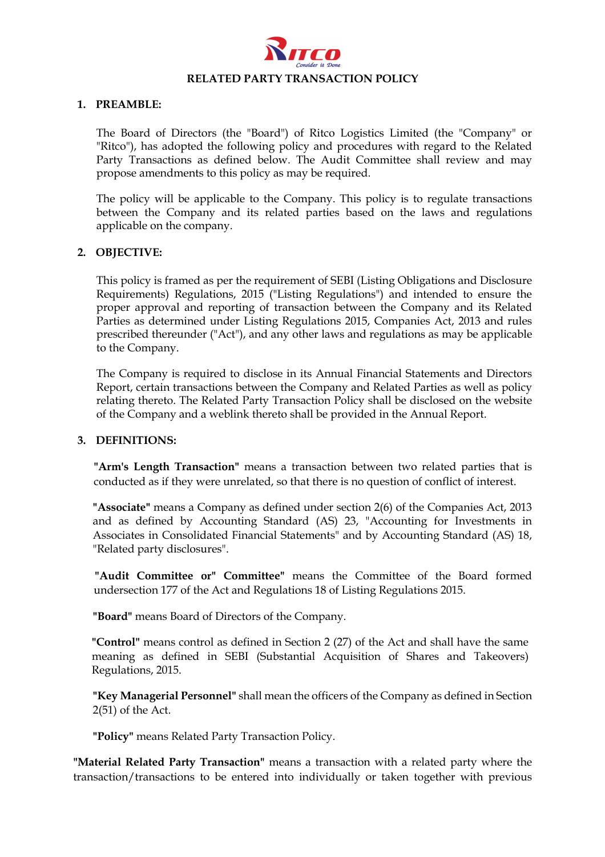

### **1. PREAMBLE:**

The Board of Directors (the "Board") of Ritco Logistics Limited (the "Company" or "Ritco"), has adopted the following policy and procedures with regard to the Related Party Transactions as defined below. The Audit Committee shall review and may propose amendments to this policy as may be required.

The policy will be applicable to the Company. This policy is to regulate transactions between the Company and its related parties based on the laws and regulations applicable on the company.

#### **2. OBJECTIVE:**

This policy is framed as per the requirement of SEBI (Listing Obligations and Disclosure Requirements) Regulations, 2015 ("Listing Regulations") and intended to ensure the proper approval and reporting of transaction between the Company and its Related Parties as determined under Listing Regulations 2015, Companies Act, 2013 and rules prescribed thereunder ("Act"), and any other laws and regulations as may be applicable to the Company.

The Company is required to disclose in its Annual Financial Statements and Directors Report, certain transactions between the Company and Related Parties as well as policy relating thereto. The Related Party Transaction Policy shall be disclosed on the website of the Company and a weblink thereto shall be provided in the Annual Report.

### **3. DEFINITIONS:**

**"Arm's Length Transaction"** means a transaction between two related parties that is conducted as if they were unrelated, so that there is no question of conflict of interest.

**"Associate"** means a Company as defined under section 2(6) of the Companies Act, 2013 and as defined by Accounting Standard (AS) 23, "Accounting for Investments in Associates in Consolidated Financial Statements" and by Accounting Standard (AS) 18, "Related party disclosures".

**"Audit Committee or" Committee"** means the Committee of the Board formed undersection 177 of the Act and Regulations 18 of Listing Regulations 2015.

**"Board"** means Board of Directors of the Company.

**"Control"** means control as defined in Section 2 (27) of the Act and shall have the same meaning as defined in SEBI (Substantial Acquisition of Shares and Takeovers) Regulations, 2015.

**"Key Managerial Personnel"** shall mean the officers of the Company as defined in Section 2(51) of the Act.

**"Policy"** means Related Party Transaction Policy.

**"Material Related Party Transaction"** means a transaction with a related party where the transaction/transactions to be entered into individually or taken together with previous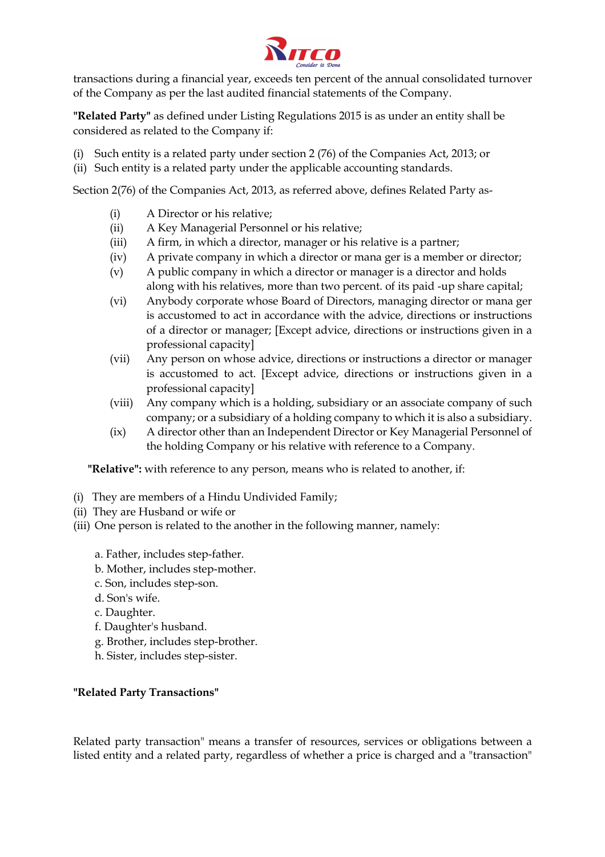

transactions during a financial year, exceeds ten percent of the annual consolidated turnover of the Company as per the last audited financial statements of the Company.

**"Related Party"** as defined under Listing Regulations 2015 is as under an entity shall be considered as related to the Company if:

- (i) Such entity is a related party under section 2 (76) of the Companies Act, 2013; or
- (ii) Such entity is a related party under the applicable accounting standards.

Section 2(76) of the Companies Act, 2013, as referred above, defines Related Party as-

- (i) A Director or his relative;
- (ii) A Key Managerial Personnel or his relative;
- (iii) A firm, in which a director, manager or his relative is a partner;
- (iv) A private company in which a director or mana ger is a member or director;
- (v) A public company in which a director or manager is a director and holds along with his relatives, more than two percent. of its paid -up share capital;
- (vi) Anybody corporate whose Board of Directors, managing director or mana ger is accustomed to act in accordance with the advice, directions or instructions of a director or manager; [Except advice, directions or instructions given in a professional capacity]
- (vii) Any person on whose advice, directions or instructions a director or manager is accustomed to act. [Except advice, directions or instructions given in a professional capacity]
- (viii) Any company which is a holding, subsidiary or an associate company of such company; or a subsidiary of a holding company to which it is also a subsidiary.
- (ix) A director other than an Independent Director or Key Managerial Personnel of the holding Company or his relative with reference to a Company.

**"Relative":** with reference to any person, means who is related to another, if:

- (i) They are members of a Hindu Undivided Family;
- (ii) They are Husband or wife or
- (iii) One person is related to the another in the following manner, namely:
	- a. Father, includes step-father.
	- b. Mother, includes step-mother.
	- c. Son, includes step-son.
	- d. Son's wife.
	- c. Daughter.
	- f. Daughter's husband.
	- g. Brother, includes step-brother.
	- h. Sister, includes step-sister.

### **"Related Party Transactions"**

Related party transaction" means a transfer of resources, services or obligations between a listed entity and a related party, regardless of whether a price is charged and a "transaction"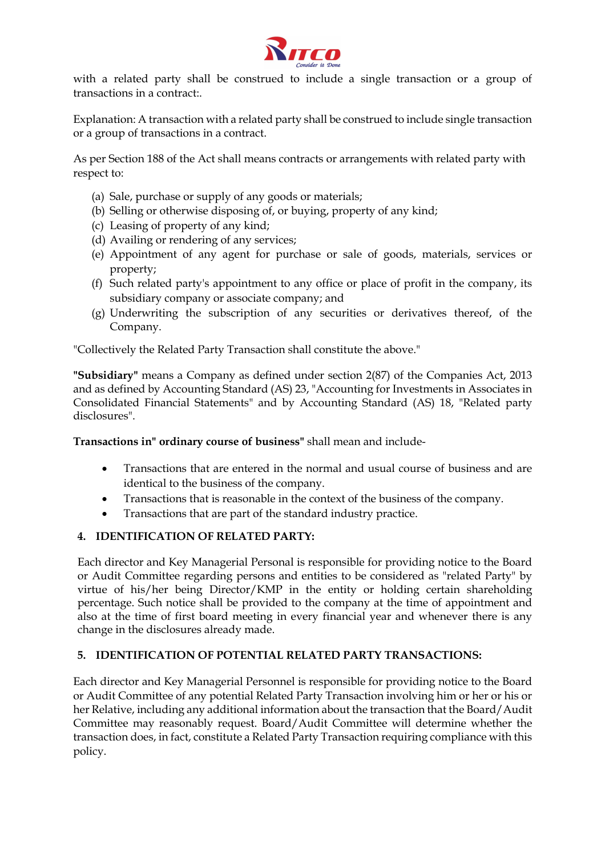

with a related party shall be construed to include a single transaction or a group of transactions in a contract:.

Explanation: A transaction with a related party shall be construed to include single transaction or a group of transactions in a contract.

As per Section 188 of the Act shall means contracts or arrangements with related party with respect to:

- (a) Sale, purchase or supply of any goods or materials;
- (b) Selling or otherwise disposing of, or buying, property of any kind;
- (c) Leasing of property of any kind;
- (d) Availing or rendering of any services;
- (e) Appointment of any agent for purchase or sale of goods, materials, services or property;
- (f) Such related party's appointment to any office or place of profit in the company, its subsidiary company or associate company; and
- (g) Underwriting the subscription of any securities or derivatives thereof, of the Company.

"Collectively the Related Party Transaction shall constitute the above."

**"Subsidiary"** means a Company as defined under section 2(87) of the Companies Act, 2013 and as defined by Accounting Standard (AS) 23, "Accounting for Investments in Associates in Consolidated Financial Statements" and by Accounting Standard (AS) 18, "Related party disclosures".

**Transactions in" ordinary course of business"** shall mean and include-

- Transactions that are entered in the normal and usual course of business and are identical to the business of the company.
- Transactions that is reasonable in the context of the business of the company.
- Transactions that are part of the standard industry practice.

### **4. IDENTIFICATION OF RELATED PARTY:**

Each director and Key Managerial Personal is responsible for providing notice to the Board or Audit Committee regarding persons and entities to be considered as "related Party" by virtue of his/her being Director/KMP in the entity or holding certain shareholding percentage. Such notice shall be provided to the company at the time of appointment and also at the time of first board meeting in every financial year and whenever there is any change in the disclosures already made.

# **5. IDENTIFICATION OF POTENTIAL RELATED PARTY TRANSACTIONS:**

Each director and Key Managerial Personnel is responsible for providing notice to the Board or Audit Committee of any potential Related Party Transaction involving him or her or his or her Relative, including any additional information about the transaction that the Board/Audit Committee may reasonably request. Board/Audit Committee will determine whether the transaction does, in fact, constitute a Related Party Transaction requiring compliance with this policy.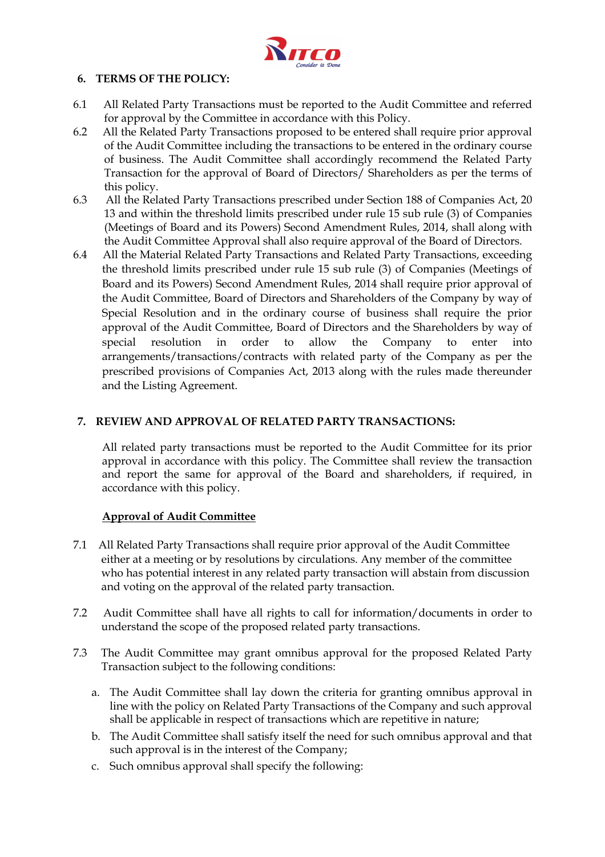

## **6. TERMS OF THE POLICY:**

- 6.1 All Related Party Transactions must be reported to the Audit Committee and referred for approval by the Committee in accordance with this Policy.
- 6.2 All the Related Party Transactions proposed to be entered shall require prior approval of the Audit Committee including the transactions to be entered in the ordinary course of business. The Audit Committee shall accordingly recommend the Related Party Transaction for the approval of Board of Directors/ Shareholders as per the terms of this policy.
- 6.3 All the Related Party Transactions prescribed under Section 188 of Companies Act, 20 13 and within the threshold limits prescribed under rule 15 sub rule (3) of Companies (Meetings of Board and its Powers) Second Amendment Rules, 2014, shall along with the Audit Committee Approval shall also require approval of the Board of Directors.
- 6.4 All the Material Related Party Transactions and Related Party Transactions, exceeding the threshold limits prescribed under rule 15 sub rule (3) of Companies (Meetings of Board and its Powers) Second Amendment Rules, 2014 shall require prior approval of the Audit Committee, Board of Directors and Shareholders of the Company by way of Special Resolution and in the ordinary course of business shall require the prior approval of the Audit Committee, Board of Directors and the Shareholders by way of special resolution in order to allow the Company to enter into arrangements/transactions/contracts with related party of the Company as per the prescribed provisions of Companies Act, 2013 along with the rules made thereunder and the Listing Agreement.

# **7. REVIEW AND APPROVAL OF RELATED PARTY TRANSACTIONS:**

All related party transactions must be reported to the Audit Committee for its prior approval in accordance with this policy. The Committee shall review the transaction and report the same for approval of the Board and shareholders, if required, in accordance with this policy.

# **Approval of Audit Committee**

- 7.1 All Related Party Transactions shall require prior approval of the Audit Committee either at a meeting or by resolutions by circulations. Any member of the committee who has potential interest in any related party transaction will abstain from discussion and voting on the approval of the related party transaction.
- 7.2 Audit Committee shall have all rights to call for information/documents in order to understand the scope of the proposed related party transactions.
- 7.3 The Audit Committee may grant omnibus approval for the proposed Related Party Transaction subject to the following conditions:
	- a. The Audit Committee shall lay down the criteria for granting omnibus approval in line with the policy on Related Party Transactions of the Company and such approval shall be applicable in respect of transactions which are repetitive in nature;
	- b. The Audit Committee shall satisfy itself the need for such omnibus approval and that such approval is in the interest of the Company;
	- c. Such omnibus approval shall specify the following: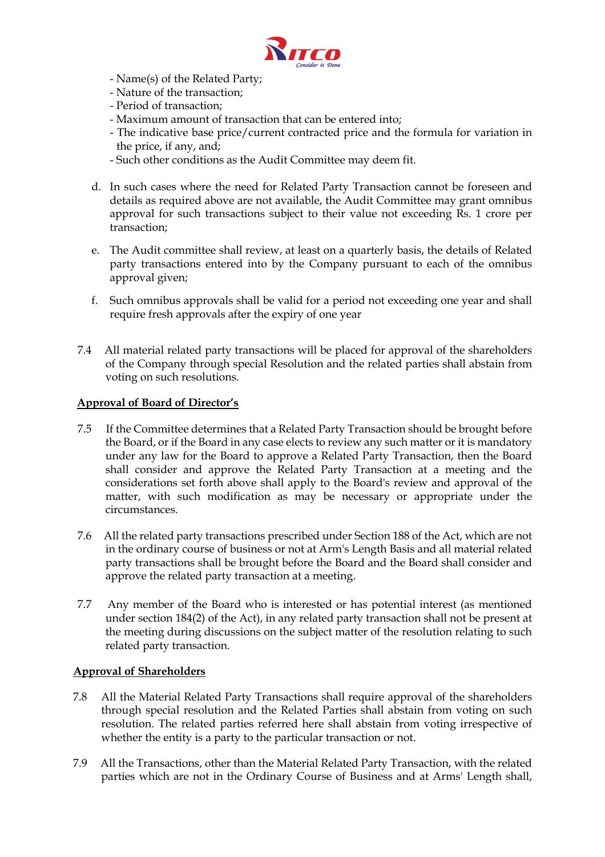

- Name(s) of the Related Party;
- Nature of the transaction;
- Period of transaction;
- Maximum amount of transaction that can be entered into;
- The indicative base price/current contracted price and the formula for variation in the price, if any, and;
- Such other conditions as the Audit Committee may deem fit.
- d. In such cases where the need for Related Party Transaction cannot be foreseen and details as required above are not available, the Audit Committee may grant omnibus approval for such transactions subject to their value not exceeding Rs. 1 crore per transaction;
- e. The Audit committee shall review, at least on a quarterly basis, the details of Related party transactions entered into by the Company pursuant to each of the omnibus approval given;
- f. Such omnibus approvals shall be valid for a period not exceeding one year and shall require fresh approvals after the expiry of one year
- 7.4 All material related party transactions will be placed for approval of the shareholders of the Company through special Resolution and the related parties shall abstain from voting on such resolutions.

### **Approval of Board of Director's**

- 7.5 If the Committee determines that a Related Party Transaction should be brought before the Board, or if the Board in any case elects to review any such matter or it is mandatory under any law for the Board to approve a Related Party Transaction, then the Board shall consider and approve the Related Party Transaction at a meeting and the considerations set forth above shall apply to the Board's review and approval of the matter, with such modification as may be necessary or appropriate under the circumstances.
- 7.6 All the related party transactions prescribed under Section 188 of the Act, which are not in the ordinary course of business or not at Arm's Length Basis and all material related party transactions shall be brought before the Board and the Board shall consider and approve the related party transaction at a meeting.
- 7.7 Any member of the Board who is interested or has potential interest (as mentioned under section 184(2) of the Act), in any related party transaction shall not be present at the meeting during discussions on the subject matter of the resolution relating to such related party transaction.

### **Approval of Shareholders**

- 7.8 All the Material Related Party Transactions shall require approval of the shareholders through special resolution and the Related Parties shall abstain from voting on such resolution. The related parties referred here shall abstain from voting irrespective of whether the entity is a party to the particular transaction or not.
- 7.9 All the Transactions, other than the Material Related Party Transaction, with the related parties which are not in the Ordinary Course of Business and at Arms' Length shall,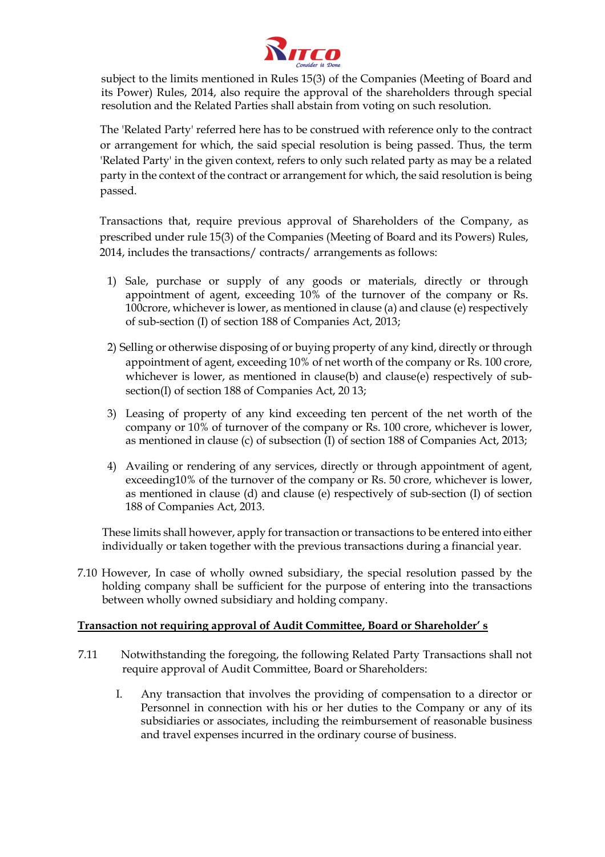

subject to the limits mentioned in Rules 15(3) of the Companies (Meeting of Board and its Power) Rules, 2014, also require the approval of the shareholders through special resolution and the Related Parties shall abstain from voting on such resolution.

The 'Related Party' referred here has to be construed with reference only to the contract or arrangement for which, the said special resolution is being passed. Thus, the term 'Related Party' in the given context, refers to only such related party as may be a related party in the context of the contract or arrangement for which, the said resolution is being passed.

Transactions that, require previous approval of Shareholders of the Company, as prescribed under rule 15(3) of the Companies (Meeting of Board and its Powers) Rules, 2014, includes the transactions/ contracts/ arrangements as follows:

- 1) Sale, purchase or supply of any goods or materials, directly or through appointment of agent, exceeding 10% of the turnover of the company or Rs. 100crore, whichever is lower, as mentioned in clause (a) and clause (e) respectively of sub-section (I) of section 188 of Companies Act, 2013;
- 2) Selling or otherwise disposing of or buying property of any kind, directly or through appointment of agent, exceeding 10% of net worth of the company or Rs. 100 crore, whichever is lower, as mentioned in clause(b) and clause(e) respectively of subsection(I) of section 188 of Companies Act, 20 13;
- 3) Leasing of property of any kind exceeding ten percent of the net worth of the company or 10% of turnover of the company or Rs. 100 crore, whichever is lower, as mentioned in clause (c) of subsection (I) of section 188 of Companies Act, 2013;
- 4) Availing or rendering of any services, directly or through appointment of agent, exceeding10% of the turnover of the company or Rs. 50 crore, whichever is lower, as mentioned in clause (d) and clause (e) respectively of sub-section (I) of section 188 of Companies Act, 2013.

These limits shall however, apply for transaction or transactions to be entered into either individually or taken together with the previous transactions during a financial year.

7.10 However, In case of wholly owned subsidiary, the special resolution passed by the holding company shall be sufficient for the purpose of entering into the transactions between wholly owned subsidiary and holding company.

### **Transaction not requiring approval of Audit Committee, Board or Shareholder' s**

- 7.11 Notwithstanding the foregoing, the following Related Party Transactions shall not require approval of Audit Committee, Board or Shareholders:
	- I. Any transaction that involves the providing of compensation to a director or Personnel in connection with his or her duties to the Company or any of its subsidiaries or associates, including the reimbursement of reasonable business and travel expenses incurred in the ordinary course of business.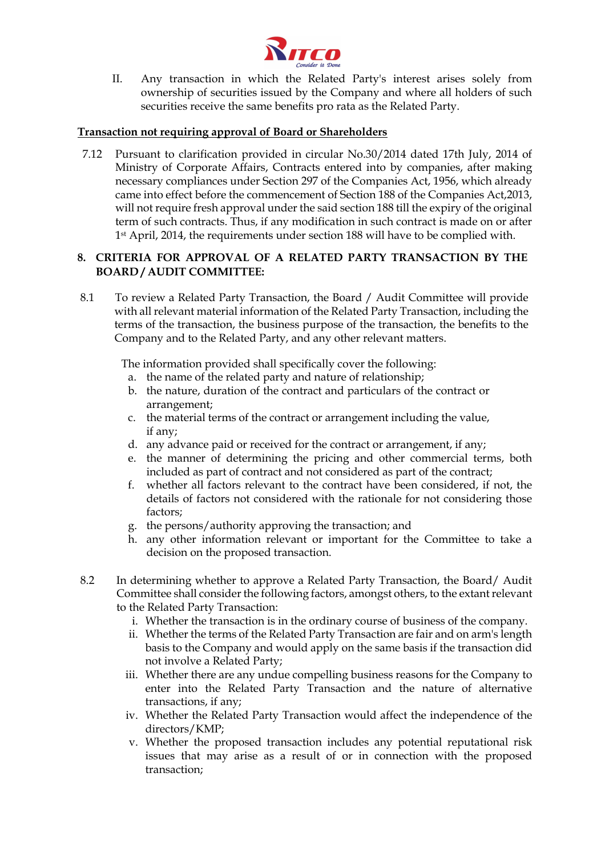

II. Any transaction in which the Related Party's interest arises solely from ownership of securities issued by the Company and where all holders of such securities receive the same benefits pro rata as the Related Party.

## **Transaction not requiring approval of Board or Shareholders**

7.12 Pursuant to clarification provided in circular No.30/2014 dated 17th July, 2014 of Ministry of Corporate Affairs, Contracts entered into by companies, after making necessary compliances under Section 297 of the Companies Act, 1956, which already came into effect before the commencement of Section 188 of the Companies Act,2013, will not require fresh approval under the said section 188 till the expiry of the original term of such contracts. Thus, if any modification in such contract is made on or after 1st April, 2014, the requirements under section 188 will have to be complied with.

## **8. CRITERIA FOR APPROVAL OF A RELATED PARTY TRANSACTION BY THE BOARD / AUDIT COMMITTEE:**

8.1 To review a Related Party Transaction, the Board / Audit Committee will provide with all relevant material information of the Related Party Transaction, including the terms of the transaction, the business purpose of the transaction, the benefits to the Company and to the Related Party, and any other relevant matters.

The information provided shall specifically cover the following:

- a. the name of the related party and nature of relationship;
- b. the nature, duration of the contract and particulars of the contract or arrangement;
- c. the material terms of the contract or arrangement including the value, if any;
- d. any advance paid or received for the contract or arrangement, if any;
- e. the manner of determining the pricing and other commercial terms, both included as part of contract and not considered as part of the contract;
- f. whether all factors relevant to the contract have been considered, if not, the details of factors not considered with the rationale for not considering those factors;
- g. the persons/authority approving the transaction; and
- h. any other information relevant or important for the Committee to take a decision on the proposed transaction.
- 8.2 In determining whether to approve a Related Party Transaction, the Board/ Audit Committee shall consider the following factors, amongst others, to the extant relevant to the Related Party Transaction:
	- i. Whether the transaction is in the ordinary course of business of the company.
	- ii. Whether the terms of the Related Party Transaction are fair and on arm's length basis to the Company and would apply on the same basis if the transaction did not involve a Related Party;
	- iii. Whether there are any undue compelling business reasons for the Company to enter into the Related Party Transaction and the nature of alternative transactions, if any;
	- iv. Whether the Related Party Transaction would affect the independence of the directors/KMP;
	- v. Whether the proposed transaction includes any potential reputational risk issues that may arise as a result of or in connection with the proposed transaction;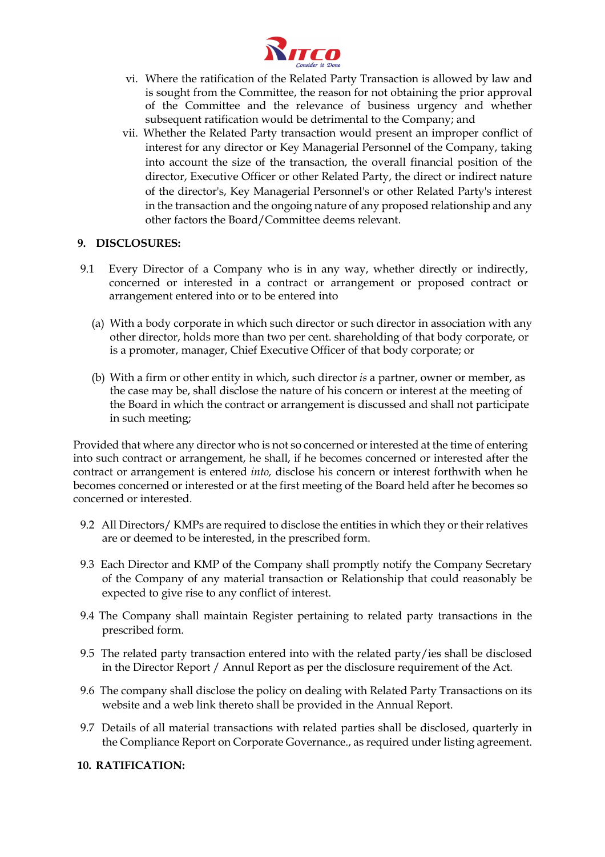

- vi. Where the ratification of the Related Party Transaction is allowed by law and is sought from the Committee, the reason for not obtaining the prior approval of the Committee and the relevance of business urgency and whether subsequent ratification would be detrimental to the Company; and
- vii. Whether the Related Party transaction would present an improper conflict of interest for any director or Key Managerial Personnel of the Company, taking into account the size of the transaction, the overall financial position of the director, Executive Officer or other Related Party, the direct or indirect nature of the director's, Key Managerial Personnel's or other Related Party's interest in the transaction and the ongoing nature of any proposed relationship and any other factors the Board/Committee deems relevant.

### **9. DISCLOSURES:**

- 9.1 Every Director of a Company who is in any way, whether directly or indirectly, concerned or interested in a contract or arrangement or proposed contract or arrangement entered into or to be entered into
	- (a) With a body corporate in which such director or such director in association with any other director, holds more than two per cent. shareholding of that body corporate, or is a promoter, manager, Chief Executive Officer of that body corporate; or
	- (b) With a firm or other entity in which, such director *is* a partner, owner or member, as the case may be, shall disclose the nature of his concern or interest at the meeting of the Board in which the contract or arrangement is discussed and shall not participate in such meeting;

Provided that where any director who is not so concerned or interested at the time of entering into such contract or arrangement, he shall, if he becomes concerned or interested after the contract or arrangement is entered *into,* disclose his concern or interest forthwith when he becomes concerned or interested or at the first meeting of the Board held after he becomes so concerned or interested.

- 9.2 All Directors/ KMPs are required to disclose the entities in which they or their relatives are or deemed to be interested, in the prescribed form.
- 9.3 Each Director and KMP of the Company shall promptly notify the Company Secretary of the Company of any material transaction or Relationship that could reasonably be expected to give rise to any conflict of interest.
- 9.4 The Company shall maintain Register pertaining to related party transactions in the prescribed form.
- 9.5 The related party transaction entered into with the related party/ies shall be disclosed in the Director Report / Annul Report as per the disclosure requirement of the Act.
- 9.6 The company shall disclose the policy on dealing with Related Party Transactions on its website and a web link thereto shall be provided in the Annual Report.
- 9.7 Details of all material transactions with related parties shall be disclosed, quarterly in the Compliance Report on Corporate Governance., as required under listing agreement.
- **10. RATIFICATION:**